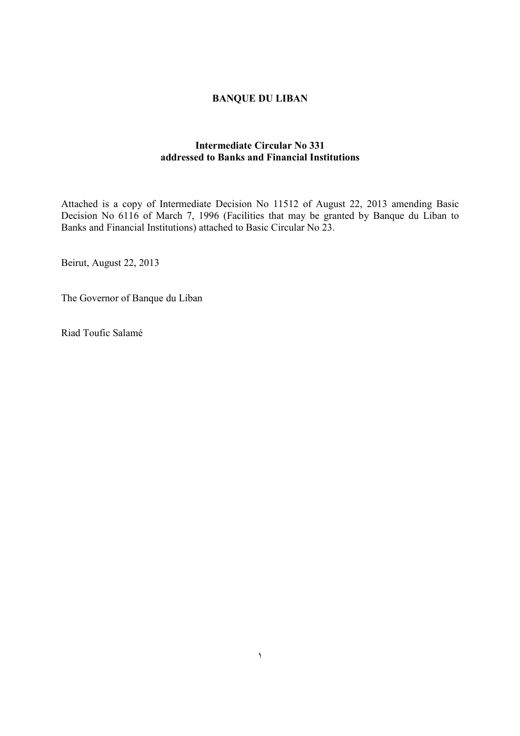# **BANQUE DU LIBAN**

# **Intermediate Circular No 331 addressed to Banks and Financial Institutions**

Attached is a copy of Intermediate Decision No 11512 of August 22, 2013 amending Basic Decision No 6116 of March 7, 1996 (Facilities that may be granted by Banque du Liban to Banks and Financial Institutions) attached to Basic Circular No 23.

١

Beirut, August 22, 2013

The Governor of Banque du Liban

Riad Toufic Salamé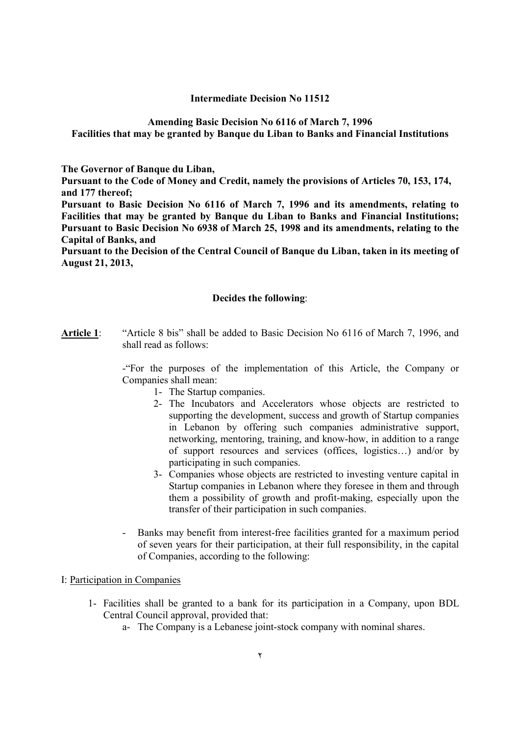## **Intermediate Decision No 11512**

#### **Amending Basic Decision No 6116 of March 7, 1996 Facilities that may be granted by Banque du Liban to Banks and Financial Institutions**

**The Governor of Banque du Liban,** 

**Pursuant to the Code of Money and Credit, namely the provisions of Articles 70, 153, 174, and 177 thereof;** 

**Pursuant to Basic Decision No 6116 of March 7, 1996 and its amendments, relating to Facilities that may be granted by Banque du Liban to Banks and Financial Institutions; Pursuant to Basic Decision No 6938 of March 25, 1998 and its amendments, relating to the Capital of Banks, and** 

**Pursuant to the Decision of the Central Council of Banque du Liban, taken in its meeting of August 21, 2013,** 

## **Decides the following**:

**Article 1**: "Article 8 bis" shall be added to Basic Decision No 6116 of March 7, 1996, and shall read as follows:

> -"For the purposes of the implementation of this Article, the Company or Companies shall mean:

- 1- The Startup companies.
- 2- The Incubators and Accelerators whose objects are restricted to supporting the development, success and growth of Startup companies in Lebanon by offering such companies administrative support, networking, mentoring, training, and know-how, in addition to a range of support resources and services (offices, logistics…) and/or by participating in such companies.
- 3- Companies whose objects are restricted to investing venture capital in Startup companies in Lebanon where they foresee in them and through them a possibility of growth and profit-making, especially upon the transfer of their participation in such companies.
- Banks may benefit from interest-free facilities granted for a maximum period of seven years for their participation, at their full responsibility, in the capital of Companies, according to the following:

## I: Participation in Companies

- 1- Facilities shall be granted to a bank for its participation in a Company, upon BDL Central Council approval, provided that:
	- a- The Company is a Lebanese joint-stock company with nominal shares.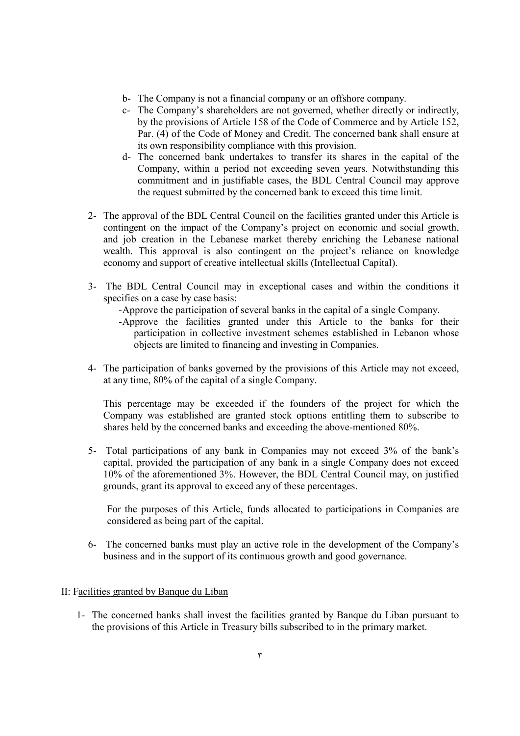- b- The Company is not a financial company or an offshore company.
- c- The Company's shareholders are not governed, whether directly or indirectly, by the provisions of Article 158 of the Code of Commerce and by Article 152, Par. (4) of the Code of Money and Credit. The concerned bank shall ensure at its own responsibility compliance with this provision.
- d- The concerned bank undertakes to transfer its shares in the capital of the Company, within a period not exceeding seven years. Notwithstanding this commitment and in justifiable cases, the BDL Central Council may approve the request submitted by the concerned bank to exceed this time limit.
- 2- The approval of the BDL Central Council on the facilities granted under this Article is contingent on the impact of the Company's project on economic and social growth, and job creation in the Lebanese market thereby enriching the Lebanese national wealth. This approval is also contingent on the project's reliance on knowledge economy and support of creative intellectual skills (Intellectual Capital).
- 3- The BDL Central Council may in exceptional cases and within the conditions it specifies on a case by case basis:
	- -Approve the participation of several banks in the capital of a single Company.
	- -Approve the facilities granted under this Article to the banks for their participation in collective investment schemes established in Lebanon whose objects are limited to financing and investing in Companies.
- 4- The participation of banks governed by the provisions of this Article may not exceed, at any time, 80% of the capital of a single Company.

This percentage may be exceeded if the founders of the project for which the Company was established are granted stock options entitling them to subscribe to shares held by the concerned banks and exceeding the above-mentioned 80%.

5- Total participations of any bank in Companies may not exceed 3% of the bank's capital, provided the participation of any bank in a single Company does not exceed 10% of the aforementioned 3%. However, the BDL Central Council may, on justified grounds, grant its approval to exceed any of these percentages.

For the purposes of this Article, funds allocated to participations in Companies are considered as being part of the capital.

6- The concerned banks must play an active role in the development of the Company's business and in the support of its continuous growth and good governance.

## II: Facilities granted by Banque du Liban

1- The concerned banks shall invest the facilities granted by Banque du Liban pursuant to the provisions of this Article in Treasury bills subscribed to in the primary market.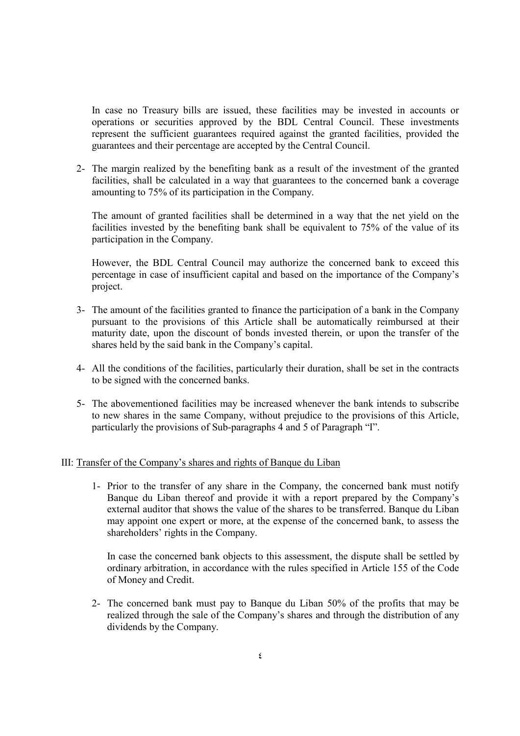In case no Treasury bills are issued, these facilities may be invested in accounts or operations or securities approved by the BDL Central Council. These investments represent the sufficient guarantees required against the granted facilities, provided the guarantees and their percentage are accepted by the Central Council.

2- The margin realized by the benefiting bank as a result of the investment of the granted facilities, shall be calculated in a way that guarantees to the concerned bank a coverage amounting to 75% of its participation in the Company.

The amount of granted facilities shall be determined in a way that the net yield on the facilities invested by the benefiting bank shall be equivalent to 75% of the value of its participation in the Company.

However, the BDL Central Council may authorize the concerned bank to exceed this percentage in case of insufficient capital and based on the importance of the Company's project.

- 3- The amount of the facilities granted to finance the participation of a bank in the Company pursuant to the provisions of this Article shall be automatically reimbursed at their maturity date, upon the discount of bonds invested therein, or upon the transfer of the shares held by the said bank in the Company's capital.
- 4- All the conditions of the facilities, particularly their duration, shall be set in the contracts to be signed with the concerned banks.
- 5- The abovementioned facilities may be increased whenever the bank intends to subscribe to new shares in the same Company, without prejudice to the provisions of this Article, particularly the provisions of Sub-paragraphs 4 and 5 of Paragraph "I".

## III: Transfer of the Company's shares and rights of Banque du Liban

1- Prior to the transfer of any share in the Company, the concerned bank must notify Banque du Liban thereof and provide it with a report prepared by the Company's external auditor that shows the value of the shares to be transferred. Banque du Liban may appoint one expert or more, at the expense of the concerned bank, to assess the shareholders' rights in the Company.

In case the concerned bank objects to this assessment, the dispute shall be settled by ordinary arbitration, in accordance with the rules specified in Article 155 of the Code of Money and Credit.

2- The concerned bank must pay to Banque du Liban 50% of the profits that may be realized through the sale of the Company's shares and through the distribution of any dividends by the Company.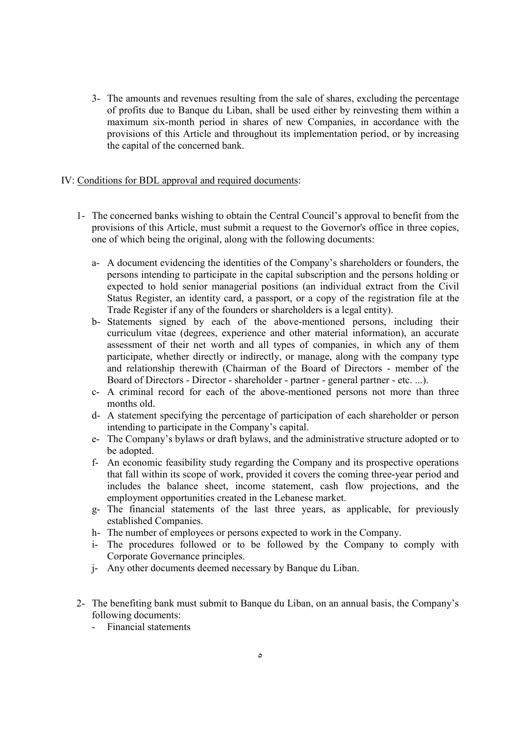3- The amounts and revenues resulting from the sale of shares, excluding the percentage of profits due to Banque du Liban, shall be used either by reinvesting them within a maximum six-month period in shares of new Companies, in accordance with the provisions of this Article and throughout its implementation period, or by increasing the capital of the concerned bank.

## IV: Conditions for BDL approval and required documents:

- 1- The concerned banks wishing to obtain the Central Council's approval to benefit from the provisions of this Article, must submit a request to the Governor's office in three copies, one of which being the original, along with the following documents:
	- a- A document evidencing the identities of the Company's shareholders or founders, the persons intending to participate in the capital subscription and the persons holding or expected to hold senior managerial positions (an individual extract from the Civil Status Register, an identity card, a passport, or a copy of the registration file at the Trade Register if any of the founders or shareholders is a legal entity).
	- b- Statements signed by each of the above-mentioned persons, including their curriculum vitae (degrees, experience and other material information), an accurate assessment of their net worth and all types of companies, in which any of them participate, whether directly or indirectly, or manage, along with the company type and relationship therewith (Chairman of the Board of Directors - member of the Board of Directors - Director - shareholder - partner - general partner - etc. ...).
	- c- A criminal record for each of the above-mentioned persons not more than three months old.
	- d- A statement specifying the percentage of participation of each shareholder or person intending to participate in the Company's capital.
	- e- The Company's bylaws or draft bylaws, and the administrative structure adopted or to be adopted.
	- f- An economic feasibility study regarding the Company and its prospective operations that fall within its scope of work, provided it covers the coming three-year period and includes the balance sheet, income statement, cash flow projections, and the employment opportunities created in the Lebanese market.
	- g- The financial statements of the last three years, as applicable, for previously established Companies.
	- h- The number of employees or persons expected to work in the Company.
	- i- The procedures followed or to be followed by the Company to comply with Corporate Governance principles.
	- j- Any other documents deemed necessary by Banque du Liban.
- 2- The benefiting bank must submit to Banque du Liban, on an annual basis, the Company's following documents:
	- Financial statements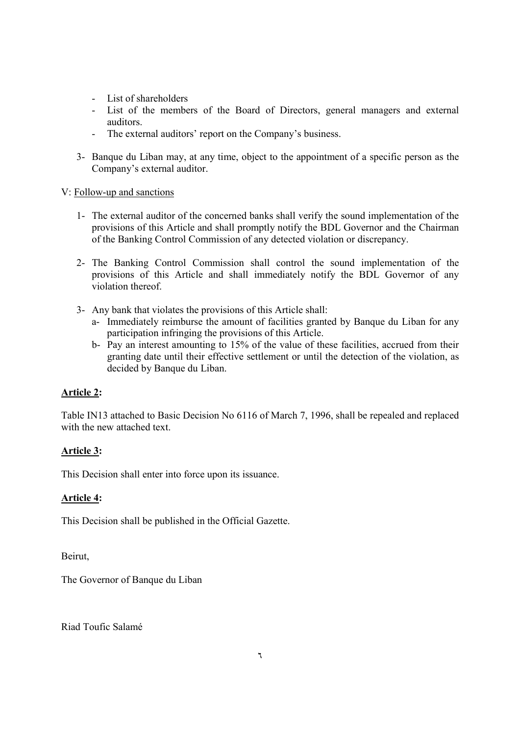- List of shareholders
- List of the members of the Board of Directors, general managers and external auditors.
- The external auditors' report on the Company's business.
- 3- Banque du Liban may, at any time, object to the appointment of a specific person as the Company's external auditor.

# V: Follow-up and sanctions

- 1- The external auditor of the concerned banks shall verify the sound implementation of the provisions of this Article and shall promptly notify the BDL Governor and the Chairman of the Banking Control Commission of any detected violation or discrepancy.
- 2- The Banking Control Commission shall control the sound implementation of the provisions of this Article and shall immediately notify the BDL Governor of any violation thereof.
- 3- Any bank that violates the provisions of this Article shall:
	- a- Immediately reimburse the amount of facilities granted by Banque du Liban for any participation infringing the provisions of this Article.
	- b- Pay an interest amounting to 15% of the value of these facilities, accrued from their granting date until their effective settlement or until the detection of the violation, as decided by Banque du Liban.

# **Article 2:**

Table IN13 attached to Basic Decision No 6116 of March 7, 1996, shall be repealed and replaced with the new attached text.

# **Article 3:**

This Decision shall enter into force upon its issuance.

# **Article 4:**

This Decision shall be published in the Official Gazette.

Beirut,

The Governor of Banque du Liban

Riad Toufic Salamé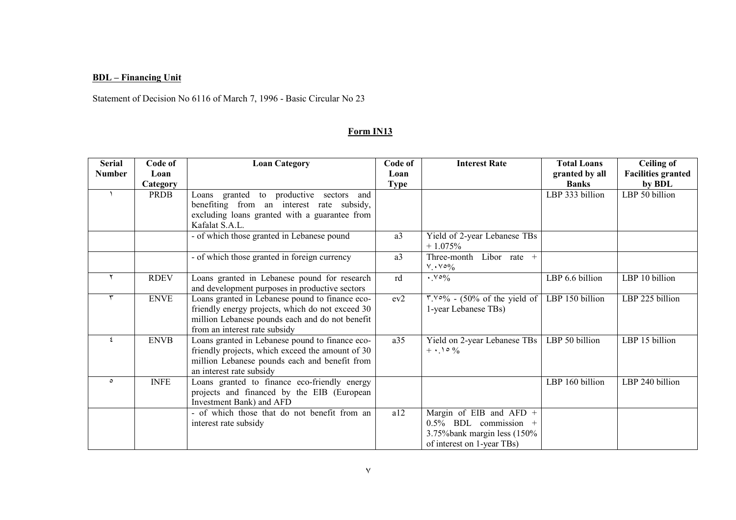# **BDL – Financing Unit**

Statement of Decision No 6116 of March 7, 1996 - Basic Circular No 23

# **Form IN13**

| <b>Serial</b> | Code of          | <b>Loan Category</b>                                                                                                                                                                    | Code of             | <b>Interest Rate</b>                                                                                                | <b>Total Loans</b>             | <b>Ceiling of</b>                          |
|---------------|------------------|-----------------------------------------------------------------------------------------------------------------------------------------------------------------------------------------|---------------------|---------------------------------------------------------------------------------------------------------------------|--------------------------------|--------------------------------------------|
| <b>Number</b> | Loan<br>Category |                                                                                                                                                                                         | Loan<br><b>Type</b> |                                                                                                                     | granted by all<br><b>Banks</b> | <b>Facilities granted</b><br>by <b>BDL</b> |
|               | <b>PRDB</b>      | Loans granted to productive sectors and<br>benefiting from an interest rate subsidy,<br>excluding loans granted with a guarantee from<br>Kafalat S.A.L.                                 |                     |                                                                                                                     | LBP 333 billion                | LBP 50 billion                             |
|               |                  | - of which those granted in Lebanese pound                                                                                                                                              | a3                  | Yield of 2-year Lebanese TBs<br>$+1.075%$                                                                           |                                |                                            |
|               |                  | - of which those granted in foreign currency                                                                                                                                            | a3                  | Three-month Libor rate +<br>$V \cdot V \circ 0$                                                                     |                                |                                            |
|               | <b>RDEV</b>      | Loans granted in Lebanese pound for research<br>and development purposes in productive sectors                                                                                          | rd                  | $\cdot$ Yo <sub>%</sub>                                                                                             | LBP 6.6 billion                | LBP 10 billion                             |
| ٣             | <b>ENVE</b>      | Loans granted in Lebanese pound to finance eco-<br>friendly energy projects, which do not exceed 30<br>million Lebanese pounds each and do not benefit<br>from an interest rate subsidy | ev2                 | $\frac{8.100}{6}$ - (50% of the yield of LBP 150 billion<br>1-year Lebanese TBs)                                    |                                | LBP 225 billion                            |
| $\epsilon$    | <b>ENVB</b>      | Loans granted in Lebanese pound to finance eco-<br>friendly projects, which exceed the amount of 30<br>million Lebanese pounds each and benefit from<br>an interest rate subsidy        | a35                 | Yield on 2-year Lebanese TBs<br>$+ \cdot 10\%$                                                                      | LBP 50 billion                 | LBP 15 billion                             |
| $\circ$       | <b>INFE</b>      | Loans granted to finance eco-friendly energy<br>projects and financed by the EIB (European<br>Investment Bank) and AFD                                                                  |                     |                                                                                                                     | LBP 160 billion                | LBP 240 billion                            |
|               |                  | - of which those that do not benefit from an<br>interest rate subsidy                                                                                                                   | a12                 | Margin of EIB and AFD $+$<br>$0.5\%$ BDL commission +<br>3.75% bank margin less (150%<br>of interest on 1-year TBs) |                                |                                            |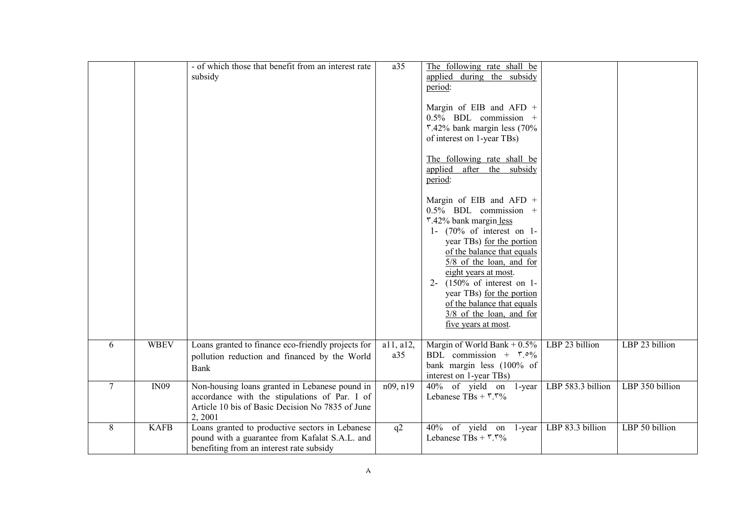|                |             | - of which those that benefit from an interest rate<br>subsidy                                                                                                | a35              | The following rate shall be<br>applied during the subsidy<br>period:                                                                          |                   |                 |
|----------------|-------------|---------------------------------------------------------------------------------------------------------------------------------------------------------------|------------------|-----------------------------------------------------------------------------------------------------------------------------------------------|-------------------|-----------------|
|                |             |                                                                                                                                                               |                  | Margin of EIB and AFD $+$<br>$0.5\%$ BDL commission +<br>$\frac{1}{2}\%$ bank margin less (70%<br>of interest on 1-year TBs)                  |                   |                 |
|                |             |                                                                                                                                                               |                  | The following rate shall be<br>applied after the subsidy<br>period:                                                                           |                   |                 |
|                |             |                                                                                                                                                               |                  | Margin of EIB and AFD $+$<br>$0.5\%$ BDL commission +<br>r.42% bank margin less<br>1- $(70\% \text{ of interest on } 1$ -                     |                   |                 |
|                |             |                                                                                                                                                               |                  | year TBs) for the portion<br>of the balance that equals<br>$5/8$ of the loan, and for<br>eight years at most.<br>$2-$ (150% of interest on 1- |                   |                 |
|                |             |                                                                                                                                                               |                  | year TBs) for the portion<br>of the balance that equals<br>$3/8$ of the loan, and for<br>five years at most.                                  |                   |                 |
| 6              | <b>WBEV</b> | Loans granted to finance eco-friendly projects for<br>pollution reduction and financed by the World<br><b>Bank</b>                                            | a11, a12,<br>a35 | Margin of World Bank + $0.5\%$<br>BDL commission + $\bar{r} \circ \frac{9}{6}$<br>bank margin less (100% of<br>interest on 1-year TBs)        | LBP 23 billion    | LBP 23 billion  |
| $\overline{7}$ | IN09        | Non-housing loans granted in Lebanese pound in<br>accordance with the stipulations of Par. I of<br>Article 10 bis of Basic Decision No 7835 of June<br>2,2001 | n09, n19         | $40\%$ of yield on 1-year<br>Lebanese TBs + $\mathbf{r} \cdot \mathbf{r} \cdot \mathbf{r}$                                                    | LBP 583.3 billion | LBP 350 billion |
| 8              | <b>KAFB</b> | Loans granted to productive sectors in Lebanese<br>pound with a guarantee from Kafalat S.A.L. and<br>benefiting from an interest rate subsidy                 | q2               | 40% of yield on 1-year<br>Lebanese TBs + $\mathbf{r} \cdot \mathbf{r} \cdot \mathbf{r}$                                                       | LBP 83.3 billion  | LBP 50 billion  |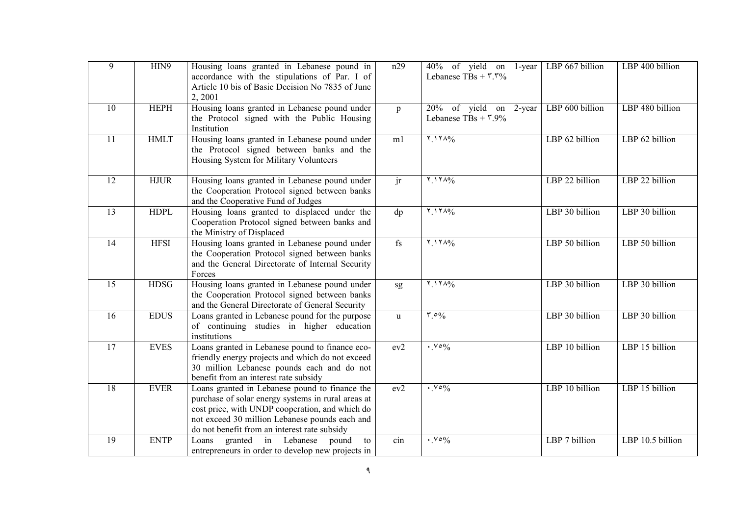| 9               | HIN9        | Housing loans granted in Lebanese pound in<br>accordance with the stipulations of Par. I of<br>Article 10 bis of Basic Decision No 7835 of June<br>2, 2001                                                                                                | n29                    | 40% of yield on 1-year<br>Lebanese TBs + $\mathbf{r} \cdot \mathbf{r} \cdot \mathbf{r}$ | LBP 667 billion | LBP 400 billion  |
|-----------------|-------------|-----------------------------------------------------------------------------------------------------------------------------------------------------------------------------------------------------------------------------------------------------------|------------------------|-----------------------------------------------------------------------------------------|-----------------|------------------|
| 10              | <b>HEPH</b> | Housing loans granted in Lebanese pound under<br>the Protocol signed with the Public Housing<br>Institution                                                                                                                                               | p                      | $\overline{20\%}$ of yield on 2-year<br>Lebanese TBs + $\frac{100}{6}$                  | LBP 600 billion | LBP 480 billion  |
| $\overline{11}$ | <b>HMLT</b> | Housing loans granted in Lebanese pound under<br>the Protocol signed between banks and the<br>Housing System for Military Volunteers                                                                                                                      | m1                     | $Y_1Y_0/6$                                                                              | LBP 62 billion  | LBP 62 billion   |
| $\overline{12}$ | <b>HJUR</b> | Housing loans granted in Lebanese pound under<br>the Cooperation Protocol signed between banks<br>and the Cooperative Fund of Judges                                                                                                                      | $\overline{\text{ir}}$ | $Y_1Y_0/6$                                                                              | LBP 22 billion  | LBP 22 billion   |
| $\overline{13}$ | <b>HDPL</b> | Housing loans granted to displaced under the<br>Cooperation Protocol signed between banks and<br>the Ministry of Displaced                                                                                                                                | dp                     | $Y_1Y_0/$                                                                               | LBP 30 billion  | LBP 30 billion   |
| 14              | <b>HFSI</b> | Housing loans granted in Lebanese pound under<br>the Cooperation Protocol signed between banks<br>and the General Directorate of Internal Security<br>Forces                                                                                              | fs                     | $Y_1Y_0/6$                                                                              | LBP 50 billion  | LBP 50 billion   |
| 15              | <b>HDSG</b> | Housing loans granted in Lebanese pound under<br>the Cooperation Protocol signed between banks<br>and the General Directorate of General Security                                                                                                         | sg                     | $Y_1Y_0/6$                                                                              | LBP 30 billion  | LBP 30 billion   |
| 16              | <b>EDUS</b> | Loans granted in Lebanese pound for the purpose<br>of continuing studies in higher education<br>institutions                                                                                                                                              | $\mathbf{u}$           | $\mathfrak{r}$ .0%                                                                      | LBP 30 billion  | LBP 30 billion   |
| 17              | <b>EVES</b> | Loans granted in Lebanese pound to finance eco-<br>friendly energy projects and which do not exceed<br>30 million Lebanese pounds each and do not<br>benefit from an interest rate subsidy                                                                | ev2                    | $\cdot$ Yo <sub>%</sub>                                                                 | LBP 10 billion  | LBP 15 billion   |
| 18              | <b>EVER</b> | Loans granted in Lebanese pound to finance the<br>purchase of solar energy systems in rural areas at<br>cost price, with UNDP cooperation, and which do<br>not exceed 30 million Lebanese pounds each and<br>do not benefit from an interest rate subsidy | ev2                    | $\cdot$ Yo <sub>%</sub>                                                                 | LBP 10 billion  | LBP 15 billion   |
| 19              | <b>ENTP</b> | granted in Lebanese<br>Loans<br>pound<br>to<br>entrepreneurs in order to develop new projects in                                                                                                                                                          | $\sin$                 | $\cdot$ . $\vee \circ \frac{9}{6}$                                                      | LBP 7 billion   | LBP 10.5 billion |